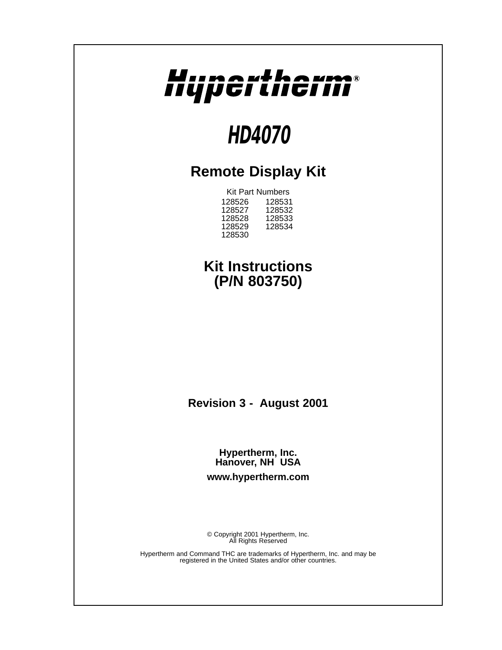

# **HD4070**

## **Remote Display Kit**

Kit Part Numbers 128526 128531 128527 128532 128528 128533 128529 128534 128530

### **Kit Instructions (P/N 803750)**

**Revision 3 - August 2001**

**Hypertherm, Inc. Hanover, NH USA www.hypertherm.com**

© Copyright 2001 Hypertherm, Inc. All Rights Reserved

Hypertherm and Command THC are trademarks of Hypertherm, Inc. and may be registered in the United States and/or other countries.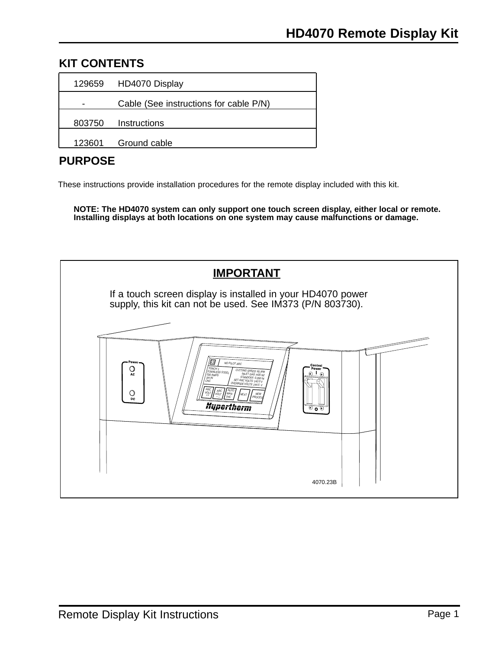### **KIT CONTENTS**

|        | 129659 HD4070 Display                  |  |
|--------|----------------------------------------|--|
|        | Cable (See instructions for cable P/N) |  |
|        | 803750 Instructions                    |  |
| 123601 | Ground cable                           |  |

### **PURPOSE**

These instructions provide installation procedures for the remote display included with this kit.

**NOTE: The HD4070 system can only support one touch screen display, either local or remote. Installing displays at both locations on one system may cause malfunctions or damage.**

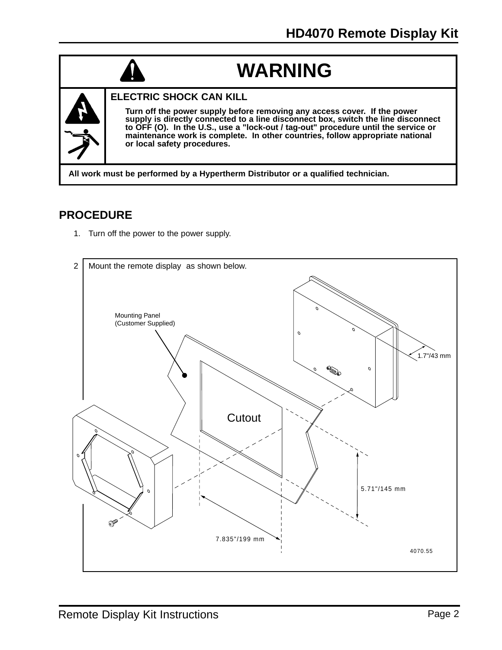## **WARNING**



### **ELECTRIC SHOCK CAN KILL**

**Turn off the power supply before removing any access cover. If the power supply is directly connected to a line disconnect box, switch the line disconnect to OFF (O). In the U.S., use a "lock-out / tag-out" procedure until the service or maintenance work is complete. In other countries, follow appropriate national or local safety procedures.**

**All work must be performed by a Hypertherm Distributor or a qualified technician.**

### **PROCEDURE**

1. Turn off the power to the power supply.

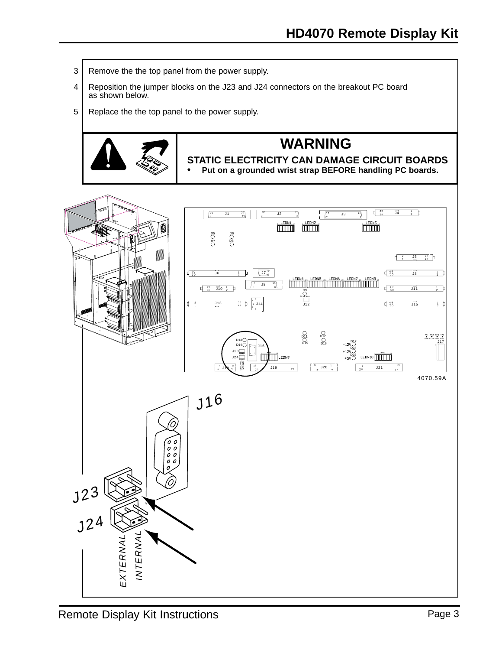- 3 | Remove the the top panel from the power supply.
- 4 | Reposition the jumper blocks on the J23 and J24 connectors on the breakout PC board as shown below.
- 5 Replace the the top panel to the power supply.



## **WARNING**

**STATIC ELECTRICITY CAN DAMAGE CIRCUIT BOARDS • Put on a grounded wrist strap BEFORE handling PC boards.**